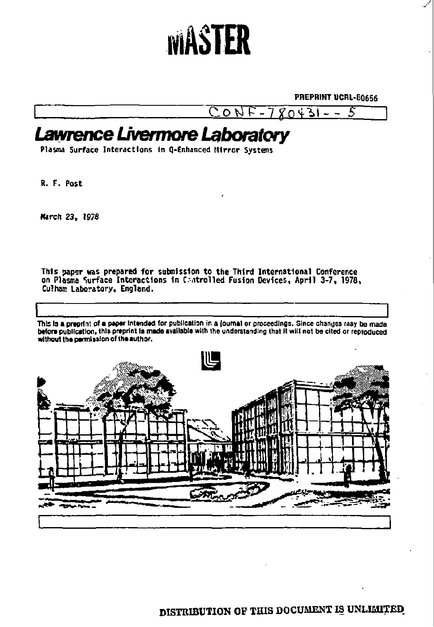# **MASTER**

**PREPRINT UCRL-80656** 

ᅐ

 $CONF-780431--$ 

## *Lawrence Uvermore Laboratory*

R. F. Post

March 23, 1978

**This paper was prepared for submission to the Third International Conference on Plasma Surface Interactions In C.-iitrolled Fusion Devices, April 3-7, 1978, Culham Laboratory, England.** 

This is a preprint of a paper intended for publication in a journal or proceedings. Since changes may be made before publication, this preprint is made available with the understanding that it will not be cited or reproduced **without the permission of the author.** 



## **DISTRIBUTION OP THIS DOCUMENT IS UNLIMITED**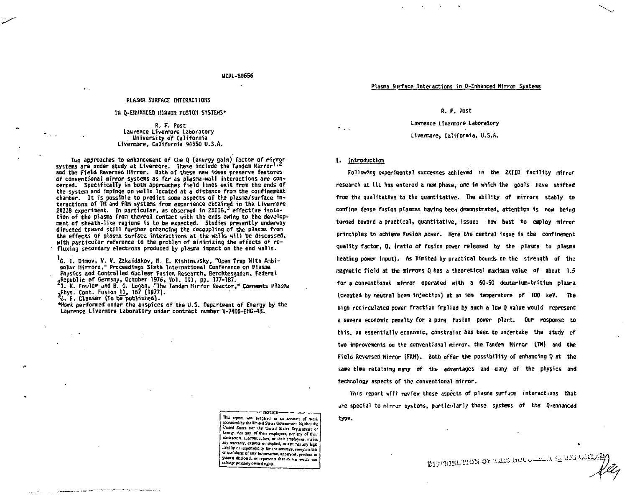## UCRL-80656

## **PLASMA SURFACE INTERACTIONS**

## HI Q-HMM1CED lilRROS FUSION 5YSTERS\*

#### R. F. Post Lawrence Livermore Laboratory University of California Liverraore, California 94550 U.S.A.

Two approaches to enhancement of the Q (energy gain) factor of mirror systems are under study at Livermore. These include the Tandem Mirror<sup>1,2</sup> and the Field Reversed Mirror. Bath of these new ideas preserve features of conventional mirror systems as far as plasma-wall interactions are concerned. Specifically in both approaches field lines exit from the ends of the system and impinge on walls located at a distance from the confinement chamber. It is possible to predict some aspects of the plasma/surface interactions of TJt and FRH systems from experience obtained in the Livermore 2X118 experiment. In particular, as observed in 2XIIB, effective isolation of the plasma from thermal contact with the ends owing to the development of sheath-like regions is to be expected. Studies presently underway directed toward still further enhancing the decoupling of the plasma from the effects of plasma surface interactions at the walls will be discussed. with particular reference to the problem of minimizing the effects *a f* refluxing secondary electrons produced by plasma impact on the end walls.

\*G. I. Dimov, V. V. Zakaidakov, H. E. Kishintvsky, "Open Trap With Ambipolar Mirrors," Proceedings Sixth International Conference on Plasma Physics and Controlled Nuclear Fusion Research, Berchtesgaden, Federal -Republic of Germany, October 1976, Vol. III, pp. 177-187.

T. K. Fowler and B. G. Logan, "The Tandem Hirror Reactor," Comments Plasisa ,Phys. Cont. Fusion 11\_, 167 (1977).

°4. F. CUuser {To be published).

 $\bullet$  .

*\*ilork* performed under the auspices of the U.S. Department of Energy by the Lawrence livermore Laboratory under contract number U-74D5-EMG-48.

Plasma Surface Interactions in Q-Enhanced Hirror Systems

#### R. F. Post

Lawrence Livermore Laboratory Livermore, California, U.S.A.

## *t.* Introduction

٠.,

following experimental successes achieved In the 2XIIB facility mirror research at LLL has entered a new phase, one in which the goals have shifted from the qualitative to the quantitative. The ability of mirrors stably to confine dense fusion plasmas having been demonstrated, attention is now being turned toward a practical, quantitative, issue: how best to employ mirror principles to achieve fusion power. Here the central issue Is the confinement quality factor, Q, (ratio of fusion power released by the plasma to plasma heating power input}. As limited by practical bounds an the strength of the magnetic field at the mirrors Q has a theoretical maximum value of about 1.5 for a conventional mirror operated with a 50-50 deuterium-tritium plasma (created by neutral beam infection) at an Ion temperature of 100 keV. The high recirculated power fraction implied by such a low Q value would represent a severe economic penalty for a pure fusion power plant. Our response to this, an essentially economic, constraint has been to undertake the study of two improvements on the conventional mirror, the Tandem Mirror (TM) and the Field Reversed Mirror (FRM). Both offer the possibility of enhancing Q at the same time retaining many of the advantages and -many of the physics and technology aspects of the conventional mirror.

This report will review those aspects of plasma surface interactions that are special to mirror systems, particularly those systems of *the* Q-enhanced type.

This report was prepared as an accuunt of work sponsored by the United States Government. Neither the Energy, *fits* any of their employees, n.v any of their contractors, subcontractors, or their employees, makes *toy* wi/ftflfy, *cxpreu. ei* implied, 01 mumei »ny Icgil liability or responsibility for the tecuracy, completencial or usefulness of any information, apparatus, product or pttxxx ducloud. or represents that its use would not infrince privately owned rights.

-NOTICE-

DISTRIBUTION OF THIS HOUGHNAME IS DEPENDE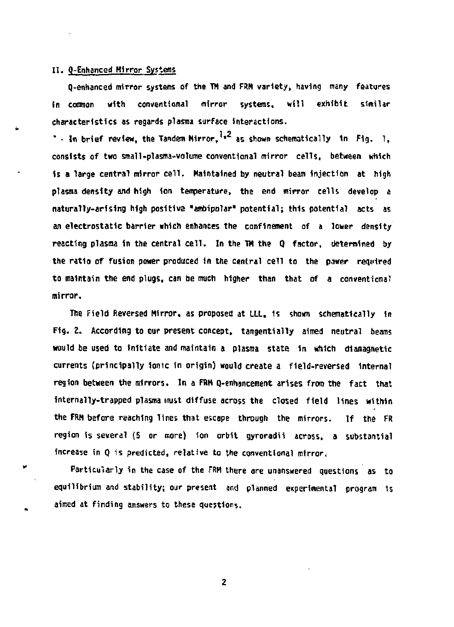#### II. Q-Enhanced Mirror Systems

Q-enhanted mirror systems of the TM and FRH variety , having many features in common with conventional mirror systems, will exhibit similar characteristics as regards plasma surface interactions.

 $^{\circ}$  • In brief review, the Tandem Mirror,  $^{1,2}$  as shown schematically <code>in Fig. 1,</code> consists of two small-plasma-volume conventional mirror cells, between which is a large central mirror cell. Maintained by neutral beam injection at high plasma density and high ion temperature, the end mirror cells develop a naturally-arising high positive "ambipolar" potential ; this potential acts as an electrostatic barrier which enhances the confinement of a lower density reacting plasma in the central cell . In the TM the Q factor, determined by the ratio of fusion power produced in the central cell to the power required to maintain the end plugs, can be much higher than that of a conventional mirror.

The Field Reversed Mirror, as proposed at LLL, is shown schematically in Fig. 2. According to our present concept, tangentially aimed neutral beams would be used to Initiate and maintain a plasma state in which diamagnetie currents (principally ionic in origin) would create a field-reversed internal region between the mirrors. In a FRM Q-enhancement arises from the fact that internally-trapped plasma must diffuse across the closed field lines within the FRM before reaching lines that escape through the mirrors. If the FR region is several (5 or more) 1on orbit gyroradii across, a substantial increase in Q is predicted, relative to the conventional mirror.

Particularly in the case of the FRM there are unanswered questions as to equilibrium and stability; our present and planned experimental program is aimed at finding answers to these questions.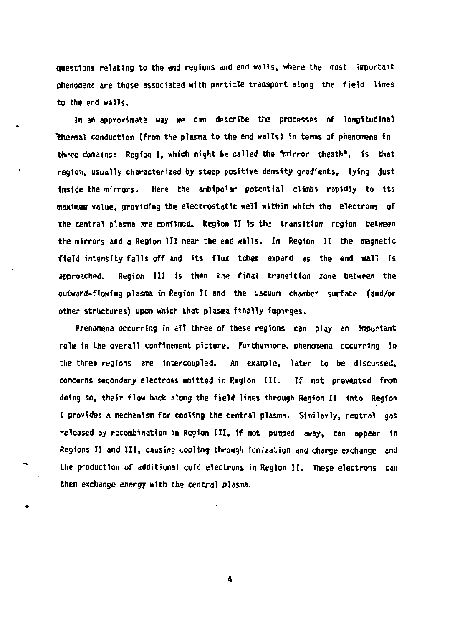questions relating to the end regions and end walls, where the most important phenomena are those associated with particle transport along the field lines to the end walls.

In an approximate way we can describe the processes of longitudinal "thermal conduction tfrom the plasma to the end walls) 'n terns of phenomena in three domains: Region I, which might be called the "mirror sheath", 1s that region, usually characterized by steep positive density gradients, lying Just inside the mirrors. Here the ambipolar potential climbs rapidly to its maximum value, providing the electrostatic well within which the electrons of the central plasma sre confined. Region II is the transition region between the mirrors and a Region III near the end walls. In Region II the magnetic field Intensity falls off and its flux tubes expand as the end wall is approached. Region III Is then the final transition zone between the outward-flowing plasma in Region I I and the vacuum chamber surface (and/or other structures) upon which that plasma finally impinges.

Phenomena occurring in all three of these regions can play an Important role In the overall confinement picture. Furthermore, phenomena occurring in the three regions are Intercoupled. An example, later to be discussed, concerns secondary electrons emitted in Region III. If not prevented from doing so, their flow back along the field lines through Region II into Region I provides a mechanism for cooling the central plasma. Similarly, neutral gas released by recombination in Region III, if not pumped away, can appear in Regions II and III, causing cooling through ionization and charge exchange and the production of additional cold electrons in Region II . These electrons can then exchange energy with the central plasma.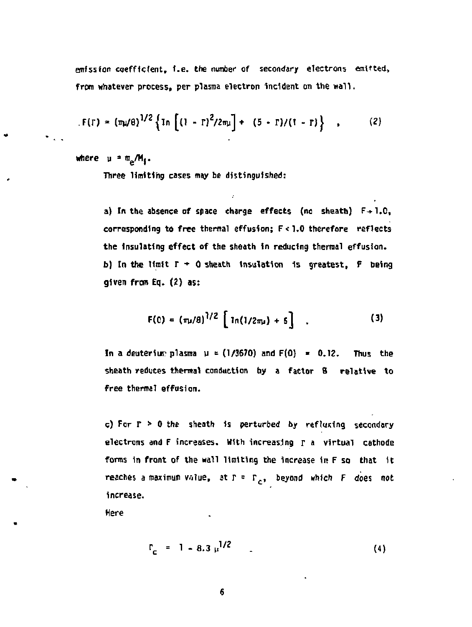emission coefficient. i.e. the number of secondary electrons emitted, from whatever process, per plasma electron incident on the wall,

$$
F(r) = (m\mu/8)^{1/2} \left\{ \ln \left[ (1 - r)^2 / 2m \right] + (5 - r) / (t - r) \right\} , \qquad (2)
$$

where μ = π<sub>α</sub>/M<sub>i</sub>.

٠.,

Three limiting cases may be distinguished;

a) In the absence of space charge effects (no sheath) F+1.0, corresponding to free thermal effusion; F<1.0 therefore reflects the insulating effect of the sheath in reducing thermal effusion, b) In the limit  $P + 0$  sheath insulation is greatest.  $F$  being given from £q. (2) as:

$$
F(0) = (\pi_H/8)^{1/2} \left[ \ln(1/2\pi_H) + 5 \right] \quad . \tag{3}
$$

In a deuterium plasma  $\mu$  = (1/3670) and F(0) = 0.12. Thus the sheath reduces thermal conduction by a factor 8 relative to free thermal effusion.

c) For  $r > 0$  the sheath is perturbed by refluxing secondary electrons and F increases. With increasing  $r$  a virtual cathode forms in front of the wall limiting the increase in F so that it reaches a maximum value, at  $r = r_c$ , beyond which F does not increase.

Here

$$
\Gamma_c = 1 - 8.3 \mu^{1/2} \tag{4}
$$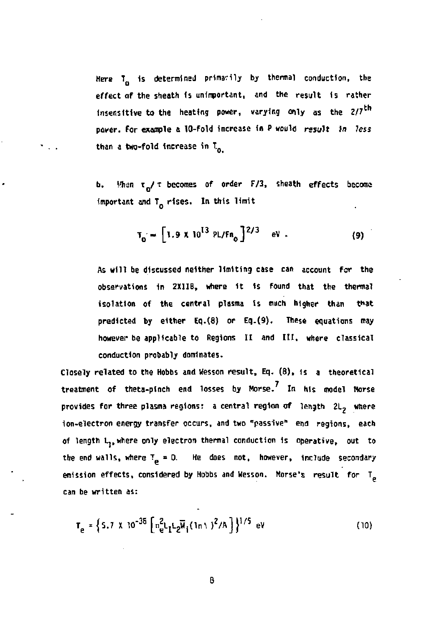Here  $T_n$  is determined primarily by thermal conduction, the effect of the sheath is unimportant, and the result is rather insensitive to the heating power, varying only as the 2/7<sup>th</sup> power. For example a 10-fold increase in P would result in less than a two-fold increase in  $I_{\alpha}$ 

b. Mhen t / T becomes of order F/3, sheath effects become important and T<sub>o</sub> rises. In this limit

$$
T_0 = [1.9 \times 10^{13} \text{ PL/Fn}_0]^{2/3} \text{ eV} . \tag{9}
$$

As will be discussed neither limiting case can account for the observations In 2XIIB, where 1t 1s found that the thermal isolation of the central plasma is much higher than that predicted by either Eq.(8) or Eq.(9). These equations may however be applicable to Regions II and III, where classical conduction probably dominates.

Closely related to the Hobbs and Wesson result, Eq. (8), 1s a theoretical treatment of theta-pinch end losses by Morse.<sup>7</sup> In his model Morse provides for three plasma regions: a central region of length 2L, where ion-electron energy transfer occurs, and two "passive" end regions, each of length t\_,where only electron thermal conduction is operative, out to the end walls, where  $T_a = 0$ . He does not, however, include secondary emission effects, considered by Hobbs and Wesson. Morse's result for T can be written as:

$$
T_{e} = \left\{ 5.7 \times 10^{-35} \left[ n_{e}^{2} L_{1} L_{2} \overline{M}_{1} (1 n + 1)^{2} / A \right] \right\}^{1/5} \text{ eV}
$$
 (10)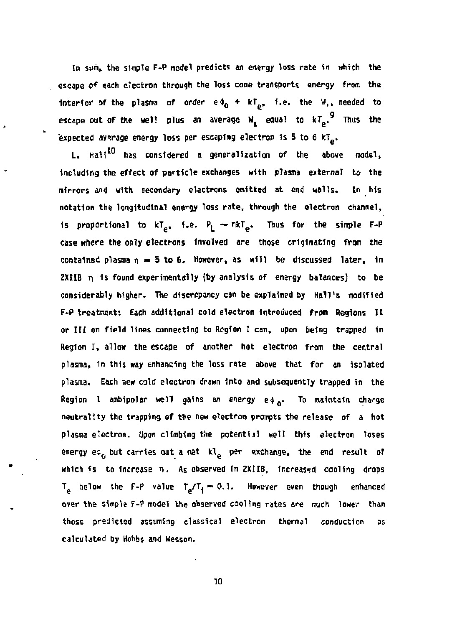In sum, the simple F-P model predicts an energy loss rate in which the escape of each electron through the loss cone transports energy from the interior of the plasma of order e $\phi_0$  + kT<sub>a</sub>, i.e. the W<sub>1</sub>, needed to escape out of the well plus an average W, equal to kT<sub>e</sub>." Thus the expected average energy loss per escaping electron is 5 to 6  $kT_{\rm g}$ .

L. Hall cas considered a generalization of the above model, ineludifig the effect of particle exchanges with plasma externa) to the mirrors and with secondary electrons emitted at end walls. In his notation the longitudinal energy loss rate, through the electron channel, is proportional to  $kT_{\alpha}$ , i.e.  $P_L \sim \pi kT_{\alpha}$ . Thus for the simple F-P case where the only electrons involved are those originating from the contained plasma  $n = 5$  to 6. However, as will be discussed later, in 2XIIB n is found experimentally (by analysis of energy balances) to be considerably higher. The discrepancy can be explained by Hall's modified F-P treatment: Each additional cold electron introduced from Regions I I or III on field lines connecting to Region I can, upon being trapped in Region I, allow the escape of another hot electron from the central plasma, in this way enhancing the loss rate above that for an isolated plasma. Each new cold electron drawn into and subsequently trapped in the Region 1 ambipolar well gains an energy  $e \phi_{ab}$ . To maintain charge neutrality the trapping of the new electron prompts the release of a hot plasma electron. Upon climbing the potential well this electron loses energy e $\varepsilon_{\alpha}$  but carries out a net kl<sub>e</sub> per exchange, the end result of which is to increase n. As observed in 2XIIB, increased cooling drops  $T_a$  below the F-P value  $T_a/T_i \approx 0.1$ . However even though enhanced over the simple F-P model the observed cooling rates are much lower than those predicted assuming classical electron thermal conduction as calculated by Hobbs and Wesson.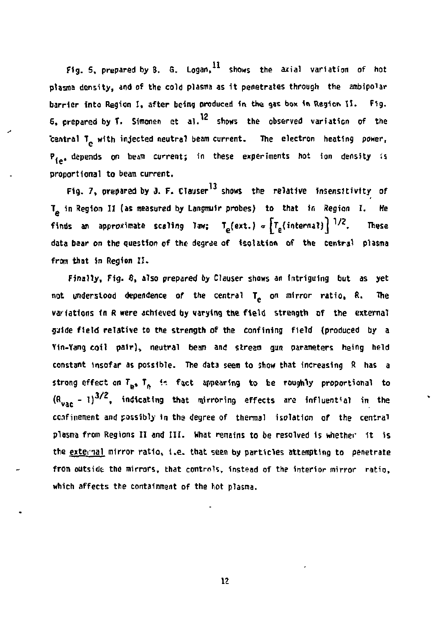Fig. 5. prepared by B. G. Logan.  $^{11}$  shows the axial variation of hot plasma density, and of the cold plasma as it penetrates through the ambipoiar barrier into Region I, after being produced in the gas box in Region II. Fig. 6, prepared by  $I$ . Simonen et al.  $^{12}$  shows the observed variation of the "central T<sub>o</sub> with injected neutral beam current. The electron heating power,  $P_{\text{tot}}$  depends on beam current; in these experiments hot ion density is proportional to beam current,

Fig. 7, prepared by J. F. Clauser<sup>13</sup> shows the relative insensitivity of T<sub>a</sub> in Region II (as measured by Langmuir probes) to that in Region I. He finds an approximate scaling law; T\_(ext.)  $\sigma$ [ $T_{\rm e}$ (internal)] $^{1/4}$ . These data bear on the question of the degree of isolation of the central plasma from that in Region II.

Finally, Fig. 8, also prepared by Clauser shows an Intriguing but as yet not undersiood dependence of the central T<sub>e</sub> on mirror ratio, R. The variations in R were achieved by varying the field strength of the external guide field relative to the strength of the confining field {produced by a Tin-Yang coil pair), neutral beam and stream gun parameters being held constant insofar as possible. The data seem to show that increasing R has a strong effect on T<sub>m</sub>. T<sub>n.</sub> in fact appearing to be roughly proportional to  $(R_{\text{max}} - 1)^{3/2}$ , indicating that mirroring effects are influential in the confinement and possibly in the degree of thermal isolation of the central plasma from Regions II and III. What remains to be resolved is whether it is the external mirror ratio, i.e. that seen by particles attempting to penetrate from outside the mirrors, that controls, instead of the interior mirror ratio. which affects the containment of the hot plasma.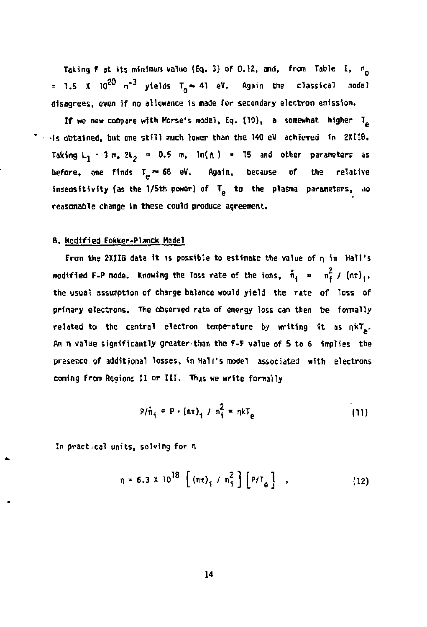Taking F at its minimum value (Eq. 3) of 0.12, and, from Table I,  $n_{\rm n}$  $=$  1,5 X 10 $^{\circ}$  m $^{\circ}$  yields T<sub>o</sub>  $\sim$  41 eV. Again the classical model disagrees, even if no allowance is made for secondary electron emission.

If we now compare with Morse's model, Eq. (10), a somewhat higher  $T_a$  $\cdot$   $\cdot$  is obtained, but one still much lower than the 140 eV achieved In 2XIIB. Taking  $L_1$  - 3 m,  $2L_2$  = 0.5 m,  $\ln(\Lambda)$  = 15 and other parameters as before, one finds T<sub>o</sub>≈ 68 eV. Again, because of the relative insensitivity (as the  $1/5$ th power) of  $T_a$  to the plasma parameters, .to reasonable change in these could produce agreement.

## B. Modified Fokker-Flanck Hodel

from the 2XIIB data it is possible to estimate the value of n in Hall's modified F-P mode. Knowing the loss rate of the ions,  $\hat{n}_i = n_f^2 / (n\tau)_i$ , the usual assumption of charge balance would yield the rate of loss of primary electrons. The observed rate of energy loss can then be formally related to the central electron temperature by writing it as  $\eta kT_{n}$ . An n value significantly greater than the F-P value of 5 to 6 implies the presence of additional losses, in Halt's model associated with electrons coming from Region; II or III. Thus we write formally

$$
P/\hat{n}_j = P \cdot (n\tau)_j / n_i^2 = nkT_e
$$
 (11)

In pract.cal units, solving for n

$$
\eta = 6.3 \times 10^{18} \left[ (\pi \tau)_i / n_i^2 \right] \left[ P/T_e \right] , \qquad (12)
$$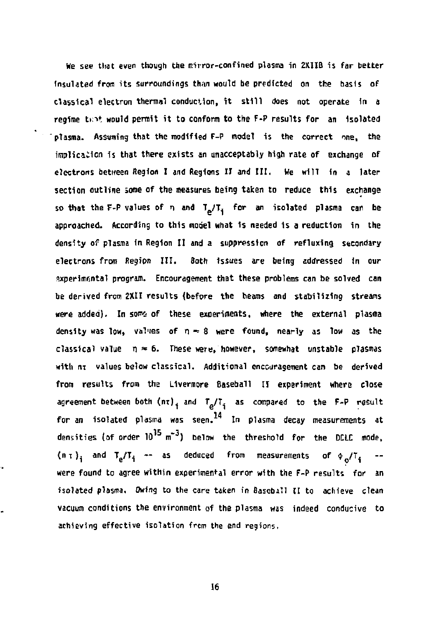We see that even though the mirror-confined plasma in 2XIIB is far better insulated from it s surroundings than would be predicted on the basis of classical electron thermal conduction, it still does not operate in a regime two would permit it to conform to the F-P results for an isolated \*\*\* plasma. Assuming that the modified F-P model is the correct one, the implication is that there exists an unacceptable high rate of exchange of electrons between Region I and Regions II and III. We will in a later section outline some of the measures being taken to reduce this exchange so that the F-P values of  $n$  and  $T_a/T_s$  for an isolated plasma can be approached. According to this model what is needed is a reduction in the density of plasma in Region 11 and a suppression of refluxing secondary electrons from Region III. Both issues are being addressed in our experimental program. Encouragement that these problems can be solved can be derived from *Zttl* results {before the beams and stabilizing streams were added). In some of these experiments, where the external plasma density was low, values of  $n = 8$  were found, nearly as low as the classical value n \* 6. These were, however, somewhat unstable plasmas with nr values below classical. Additional encouragement can be derived from results from the Livermore Baseball II experiment where close agreement between both (nt), and  $T_a/T_s$  as compared to the F-P result for an isolated plasma was seen.<sup>14</sup> In plasma decay measurements at densities (of order  $10^{35}$  m<sup>-3</sup>) below the threshold for the DELE mode,  $(n+1)$  and  $T_a/T_i$  — as deduced from measurements of  $\phi_a/T_i$  were found to agree within experimental error with the F-P results for an isolated plasma. Owing to the care taken in Baseball II to achieve clean vacuum conditions the environment of the plasma was indeed conducive to achieving effective isolation frcm the end regions.

**16** 

ú

ä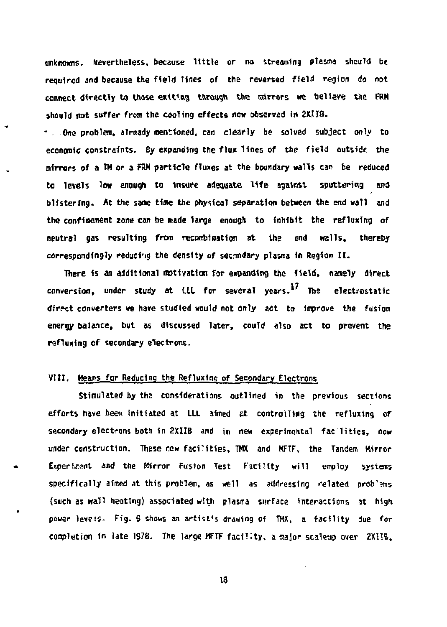unknowns. Nevertheless, because little or no streaming plasma should be required and because the field lines of the reversed field region do not connect directly to those exiting through the mirrors we believe the FRM should sot suffer fros the cooling effects now observed in *ZXltB.* 

*' .* -One problem, already mentioned\* can clearl y be solved subject only to economic constraints. By expanding the flux lines of the field outside the mirrors of a TM or a FRM particle fluxes at the boundary walls can be reduced to levels low enough to insure adequate life against sputtering and blistering . At the sane time the physical separation between the end wall and the confinement zone can be made large enough to Inhibit the refluxing of neutral gas resulting from recombination at the end walls, thereby correspondingly reducing the density of secondary plasma in Region II.

There is an additional motivation for expanding the field, namely direct conversion, under study at ill for several years.<sup>17</sup> The electrostatic direct converters we have studied would not only act to improve the fusion energy balance, but as discussed later, could also act to prevent the refluxing of secondary electrons.

## VIII. Means for Reducing the Refluxing of Secondary Electrons

Stimulated by the considerations outlined in the previous sections efforts have been initiated at till aimed at controlling the refluxing of secondary electrons both in 2XIIB and in new experimental facilities, now under construction. These new facilities , TMX and MFTF, the Tandem Mirror Experiment and the Mirror Fusion Test Facility will employ systems specifically aimed at this problem, as well as addressing related prob'sms (such as wall heating) associated with plasma surface interactions at high power levets. Fig. 9 shows an artist's drawing of TMX, a facility due for completion in late 1978. The large MFTF facility, a major scaleup over 2X11B.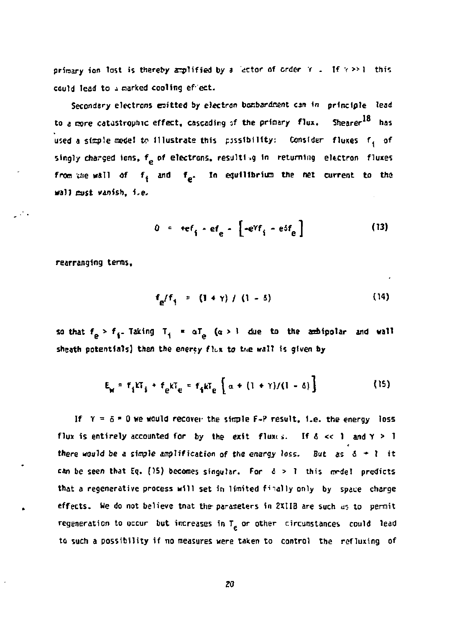primary ion lost is thereby amplified by a 'ettor of order Y . If  $\gamma \gg 1$  this could lead to *A* narked cooling ef-'ect.

Secondary electrons emitted by electron bombardment can in principle lead to a more catastrophic effect, cascading of the primary flux. Shearer<sup>10</sup> has used a simple model to illustrate this possibility: Consider fluxes f, of singly charged ions, f<sub>a</sub> of electrons, resulting in returning electron fluxes from the wall of  $f^{\prime}_i$  and  $f^{\prime}_{ai}$ . In equilibrium the net current to the wall must vanish, i.e.

$$
0 = +ef_{\mathbf{i}} - ef_{\mathbf{e}} - [-e^{\gamma}f_{\mathbf{i}} - e^{\delta}f_{\mathbf{e}}]
$$
 (13)

rearranging terns,

is Co

$$
f_{\rm g}/f_{\rm i} = (1+\gamma) / (1-\delta) \tag{14}
$$

so that  $f_a > f_i$ . Taking  $T_i = aT_a$  ( $a > 1$  due to the ambipolar and wall sheath potentials) then the enercy flux to the wall is given by

$$
E_{M} = f_{\frac{1}{2}}kT_{\frac{1}{2}} + f_{\frac{1}{2}}kT_{\frac{1}{2}} = f_{\frac{1}{2}}kT_{\frac{1}{2}} \left[ \alpha + (1 + \gamma)/(1 - \delta) \right]
$$
 (15)

If  $Y = 5 = 0$  we would recover the simple  $f - P$  result, i.e. the energy loss flux is entirely accounted for by the exit fluxis. If  $\delta \ll 1$  and  $\gamma > 1$ there would be a simple amplification of the energy loss. But as  $6 + 1$  it can be seen that Eq. (15) becomes singular. For  $4 \ge 1$  this medel predicts that a regenerative process will set in limited finally only by space charge effects. We do not believe tnat the- parameters in 2XII3 are such as to permit regeneration to occur but increases in  $T_{\rho}$  or other circumstances could lead to such a possibility if no measures were taken to control the refluxing of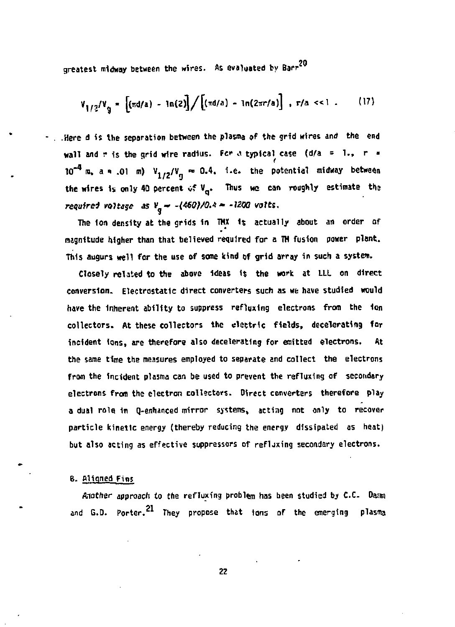greatest midway between the wires. As evaluated by Barr<sup>20</sup>

$$
V_{1/2}/V_g = [(\pi d/a) - \ln(2)] / [(\pi d/a) - \ln(2\pi r/a)] , r/a << 1 . \qquad (17)
$$

. Here d is the separation between the plasma of the grid wires and the end wall and r is the grid wire radius. For a typical case (d/a = 1., r =  $10^{-4}$  m, a a .01 m)  $V_{1/2}/V_{\alpha} \approx 0.4$ , i.e. the potential midway between the wires is only 40 percent  $v^c_* V_{ab}$ . Thus we can roughly estimate the *require\* vintage as* V\_- *-(4G0)/Q.Am -UGQ votts.* 

The ion density at the grids in THX is actually about an order of magnitude higher than that believed required for a TH fusion power plant. This augurs well for the use of some kind of grid array in such a system.

Closely related to the above ideas is the work at LLL on direct conversion. Electrostatic direct converters such as we have studied would have the Inherent ability to suppress refluxing electrons from the 1an collectors. At these collectors the electric fields, decelerating far incident ions, are therefore also decelerating for emitted electrons. At the same time the measures employed to separate and collect the electrons from the Incident plasma can be used to prevent the refluxing of secondary electrons from the electron collectors. Direct converters therefore play a dual role in 0-enhanced mirror systems, acting not only to recover particle kinetic energy (thereby reducing the energy dissipated as heat) but also acting as effective suppressors of refUxing secondary electrons.

### B. Aligned Fins

*Another* approach to the refluxing problem has been studied by C.C. Dantn and G.D. Porter.<sup>21</sup> They propose that ions of the emerging plasma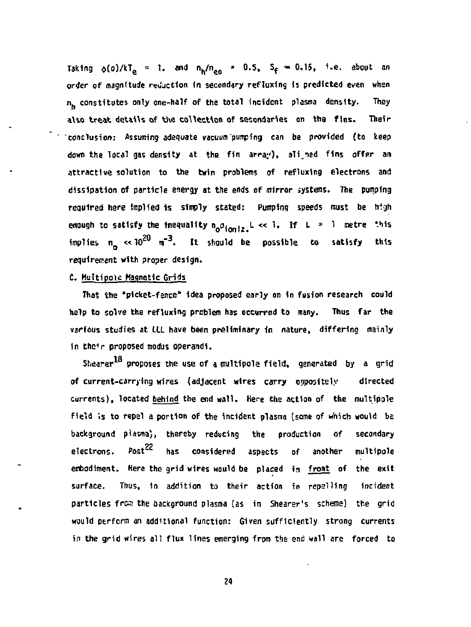Taking  $\phi(0)/kT_a = 1$ . and  $n_h/n_{on} = 0.5$ ,  $S_f = 0.15$ , i.e. about an order of magnitude reduction in secondary refluxing is predicted even when  $n<sub>h</sub>$  constitutes only one-half of the total incident plasma density. They also treat details of the collection of secondaries on the fins. Their "conclusion: ^ssu&iing adequate *vacuum* "pumping can be provided (to keep down the local gas density at the fin array), aliged fins offer an attractive solution to the twin problems of refluxing electrons and dissipation of particle energy at the ends of mirror systems. The pumping required here implied is simply stated: Pumping speeds must be high enough to satisfy the inequality  $n_0 \sigma_{\text{ion}} t_2$ , L << l. If  $L = 1$  metre this implies **n**  $\ll 10^{20}$   $\text{m}^{-3}$ . It should be possible to satisfy this requirement with proper design.

## C. Multipole Magnetic Grids

That the "picket-fence" idea proposed early on in fusion research could help to solve the refluxing problem has occurred to many. Thus far the various studies at LLL have been preliminary in nature, differing mainly In thc\*r proposed modus operandi.

Shearer" proposes the use of a multipole field, generated by a grid of current-carrying wires (adjacent wires carry oppositely directed currents), located behind the end wall. Here the action of the multipole field is to repel a portion of the incident plasma (some of which would be background plasma), thereby reducing the production of secondary electrons. Post<sup>22</sup> has considered aspects of another multipole embodiment. Here the grid wires would be placed in front of the exit surface. Thus, 1n addition to their action in repelling incident particles frcm the background plasma {as in Shearer's scheme) the grid would perform an additional function: Given sufficiently strong currents in the grid wires all flux lines emerging from the end wall are forced to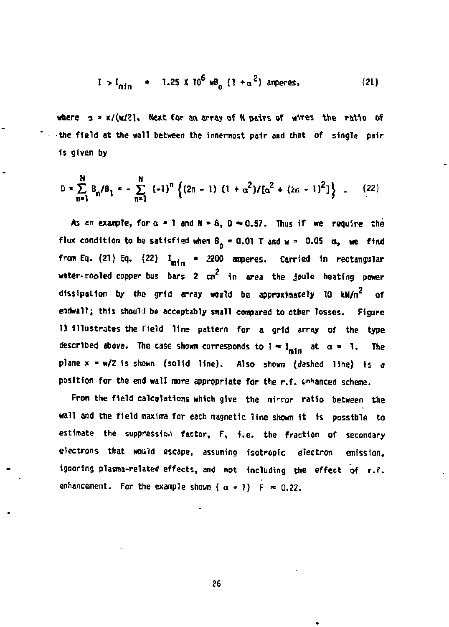$$
I > I_{\text{min}} = 1.25 \times 10^6 \text{ wB}_0 (1 + \alpha^2) \text{ amperes.}
$$
 (21)

where  $a = x/(w/2)$ . Next for an array of N pairs of wires the ratio of •the field at the wall between the innermost pair and chat of single pair is given by

$$
D = \sum_{n=1}^{N} B_n / B_1 = - \sum_{n=1}^{N} (-1)^n \left\{ (2n-1) (1 + \alpha^2) / [\alpha^2 + (2\alpha - 1)^2] \right\} .
$$
 (22)

As an example, for  $\alpha = 1$  and  $N = 8$ ,  $D = 0.57$ . Thus if we require the flux condition to be satisfied when  $\beta_{\alpha}=0.01$  T and w =  $\,0.05\,$  m, we find from Eq. (21) Eq. (22) I<sub>min</sub> = 2200 amperes. Carried in rectangular water-cooled copper bus bars  $2 \text{ cm}^2$  in area the joule heating power dissipation by the grid array would be approximately 10 kH/m<sup>2</sup> of endwall; this should be acceptably small compared to other losses. Figure 13 illustrates the field line pattern for a grid array of the type described above. The case shown corresponds to  $I = I_{-4}$  at  $\alpha = I$ . The plane x - w/2 is shown (solid line)- Also shown (dashed line) *it* a position for the end wall more appropriate for the r.f.  $\epsilon$  rhanced scheme.

From the field calculations which give the mirror ratio between the wall and the field maxima for each magnetic line shown it is possible to estimate the suppression factor, F, i.e. the fraction of secondary electrons that would escape, assuming Isotropic electron emission, ignoring plasma-related effects, and not Including the effect of r.f. enhancement. For the example shown ( $\alpha = 1$ )  $F = 0.22$ .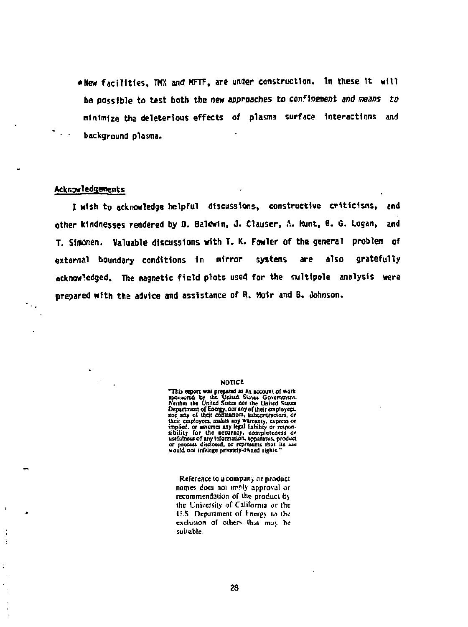\*New facilities. TMX and MFTF, are under construction. In these it will be possible to test both the new approaches to confinement and means to minimize the deleterious effects of plasma surface interactions and background plasma.

## **Acknowledgements**

 $\overline{\phantom{a}}$ 

j š þ

I wish to acknowledge helpful discussions, constructive criticisms, and other kindnesses rendered by D. Baldwin, J. Clauser, A. Hunt, B. G. Logan, and T. Simonen. Valuable discussions with T. K. Fowler of the general problem of external boundary conditions in mirror systems are also oratefully acknowledged. The magnetic field plots used for the multipole analysis were prepared with the advice and assistance of R. Moir and B. Johnson.

### **NOTICE**

This report was presented a  $\delta\alpha$  accepted of work of the present of  $\beta$  matches the present of the Substitute Department of Europe and the Divergender of the present of Europe and the Divergender of the present of Euro

Reference to a company or product names does not imply approval or recommendation of the product by the University of California or the U.S. Department of Fnergy to the exclusion of others that may be suitable.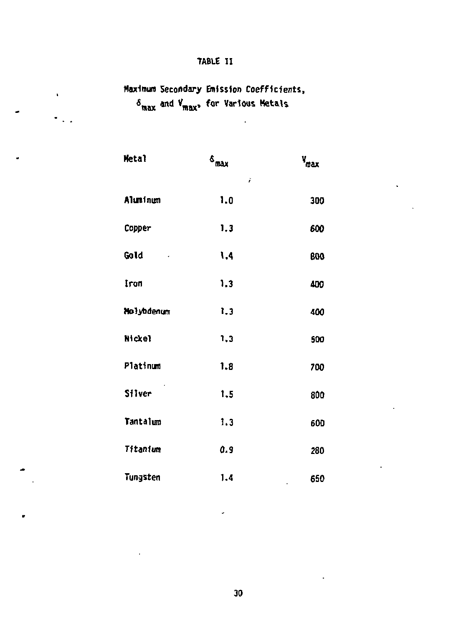## **TABLE I I**

## **Haxlmwn Secondary Emission Coeffkfents,**   $\delta_{\text{max}}$  and  $V_{\text{max}}$ , for Various Metals

í.

 $\ddot{\phantom{1}}$ 

è

 $\ddotsc$ 

| Metal         | $\delta_{\rm max}$<br>ì | v <sub>atax</sub> |
|---------------|-------------------------|-------------------|
| Aluninum      | 1.0                     | 300               |
| Copper        | 1,3                     | 600               |
| Gold          | ٠.٩                     | 600               |
| Iron          | 1,3                     | 400               |
| No i yodenum  | 1.3                     | 400               |
| <b>Hickel</b> | 1,3                     | 500               |
| Platinum      | 1.8                     | 700               |
| Silver        | 1.5                     | 800               |
| Tantalum      | 1.3                     | 600               |
| Titanium      | 0.9                     | 280               |
| Tungsten      | 1.4                     | 650               |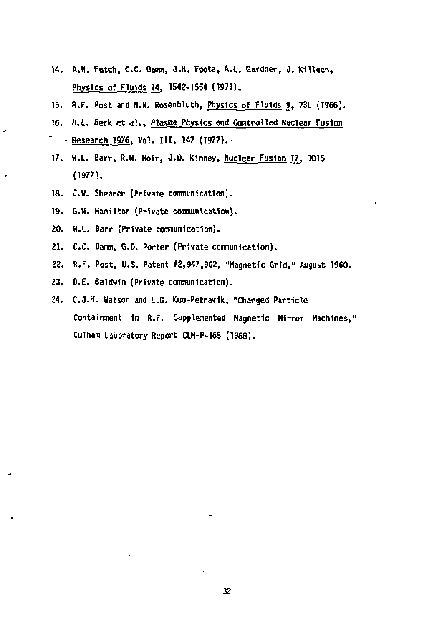- **14. A.H. Futch, C.C. Oam», J.H. Foote, A.L. Gardner, J. Kllleen, Physics of Fluids 14. 1542-1554 (1971).**
- **15. R.F. Post and N.N. Rosenbluth, Physics of Fluids 9. 730 (1966).**
- **76. H.L. Berk et al. . Plasma Physics and Controlled Nuclear Fusion**
- **" - Research 1976. Vol. Ill , 147 (1977).**
- **17. W.L. Barr, R.U. Kolr, J.D. Kinney, Nuclear Fusion 17. 1015 (1977).**
- **18. O.H. Shearer (Private communication).**
- **19. G.W. Hamilton (Private communication).**
- **20. H.L. Barr (Private communication).**
- **21. C.C. Damn, G.D. Porter (Private communication).**
- **22. R.F. Post, U.S. Patent #2,947,902, "Magnetic Grid," August 1960.**
- **23. D.E. Baldwin (Private communication).**
- **24. C.O.H. Watson and L.G. Kuo-Petravik, "Charged Particle Containment in R.F. Supplemented Magnetic Mirror Machines," Culham laboratory Report CLM-P-165 (1968).**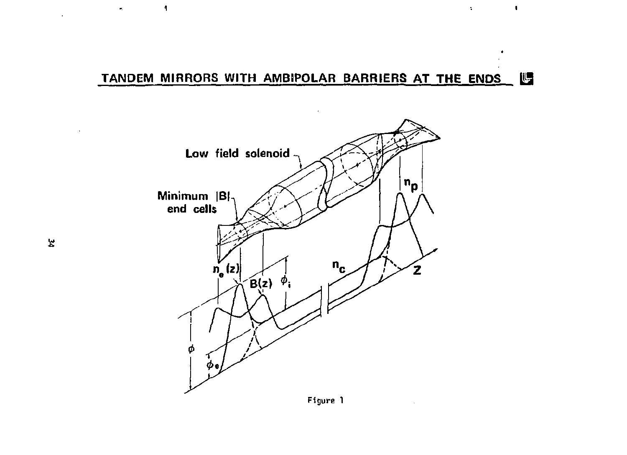## TANDEM MIRRORS WITH AMBIPOLAR BARRIERS AT THE ENDS

 $\ddot{\phantom{a}}$ 

 $\bullet$ 



 $\ddot{\phantom{1}}$ 

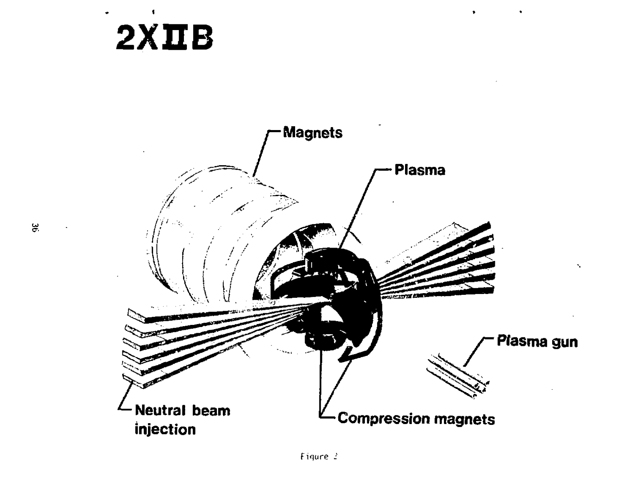



 $\bullet$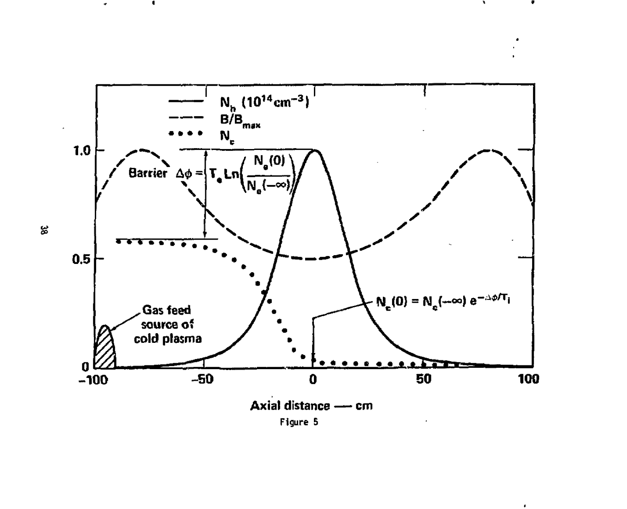

 $\ddot{\phantom{1}}$ 

.

 $\cdot$ 

g

٠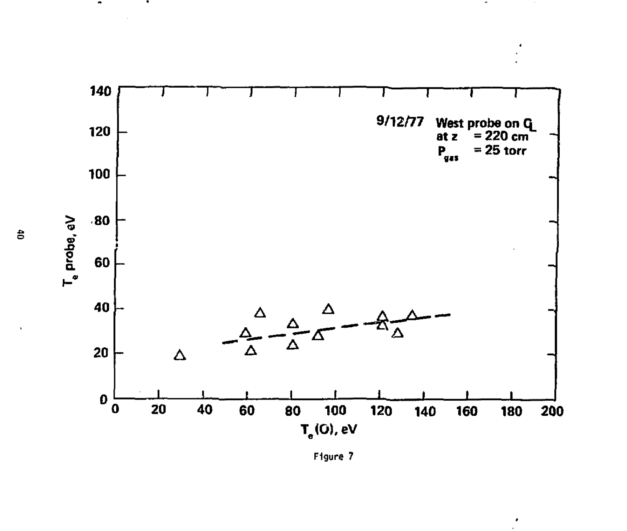

Figure 7

 $\ddot{\epsilon}$ 

 $\bullet$ 

 $\cdot$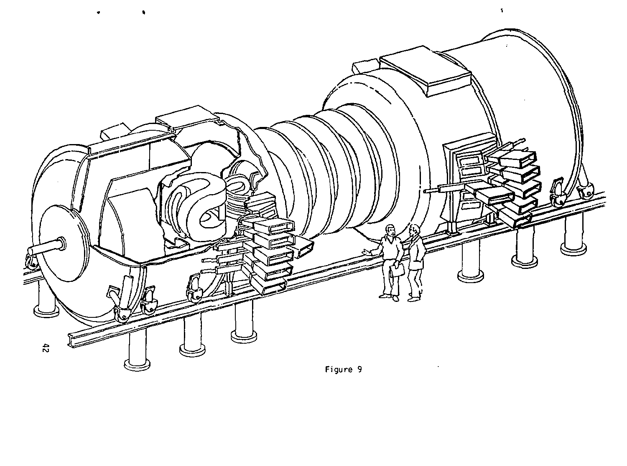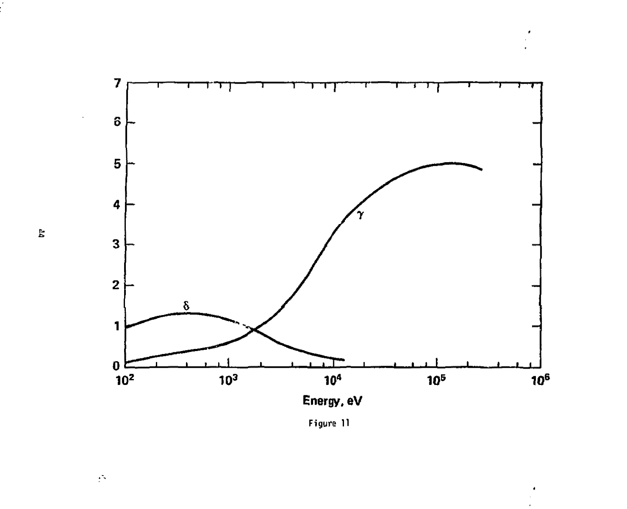

Figure 11

 $\overline{\mathbf{r}}$ 

 $\mathcal{O}$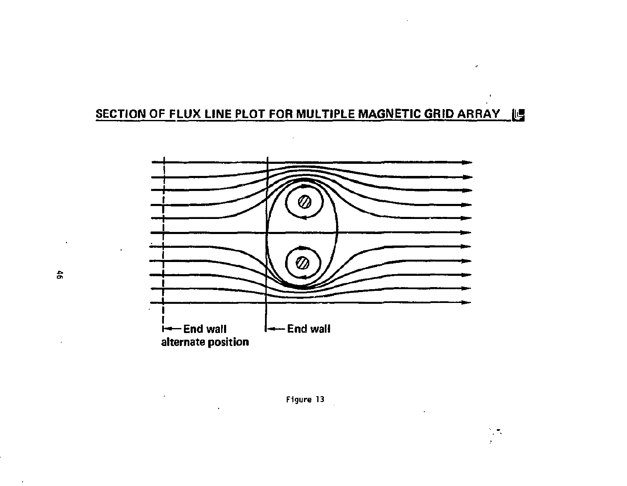## **SECTION OF FLUX LINE PLOT FOR MULTIPLE MAGNETIC GRID ARRAY** *M*



Figure 13

3,5, ż

 $\ddot{a}$ 

ä,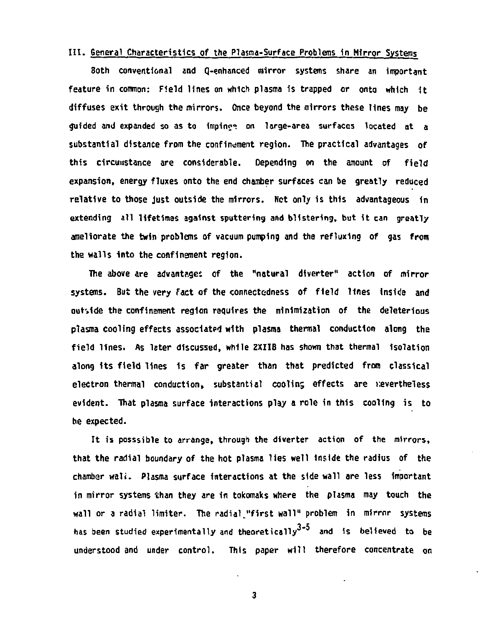## III. General Characteristics of the Plasma-Surface Problems in Mirror Systems

Both conventional and Q-enhanced mirror systems share an important feature in common: Field lines on which plasma is trapped or onto which it diffuses exit through the mirrors. Once beyond the mirrors these lines may be duided and expanded so as to impinge on large-area surfaces located at a substantial distance from the confinement region. The practical advantages of this circumstance are considerable. Depending on the amount of field expansion, energy fluxes onto the end chamber surfaces can be greatly reduced relative to those just outside the mirrors. Net only is this advantageous in extending all lifetimes against sputtering and blistering, but it can greatly ameliorate the twin problems of vacuum pumping and the refluxlng of gas from the walls into the confinement region.

The above are advantages of the "natural diverter" action of mirror systems. But the very Fact of the connectedness of field lines inside and outside the confinement region requires the minimization of the deleterious plasma cooling effects associated with plasma thermal conduction along the field lines. As later discussed, while 2XIIB has shown that thermal isolation along its field lines is far greater than that predicted from classical electron thermal conduction, substantial cooling effects are nevertheless evident. That plasma surface interactions play a role in this cooling is to he expected.

It is posssible to arrange, through the diverter action of the mirrors. that the radial boundary of the hot plasma lies well Inside the radius of the chamber wall. Plasma surface interactions at the side wall are less important in mirror systems than they are in tokomaks where the plasma may touch the wall or a radial limiter. The radial "first wall" problem in mirror systems has been studied experimentally and theoretically  $3-5$  and is believed to be understood and under control. This paper w111 therefore concentrate on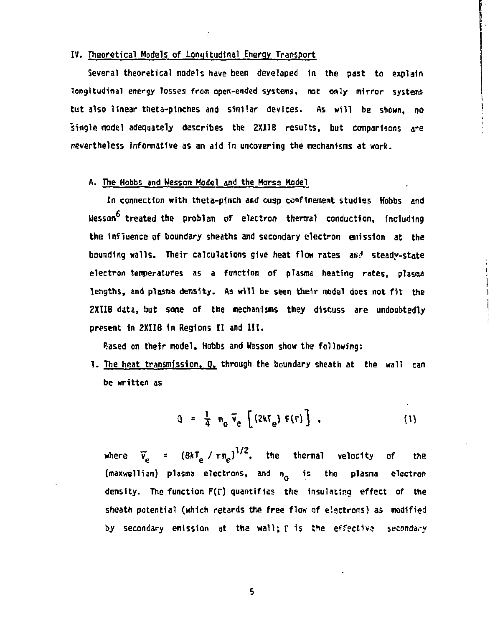## IV. Theoretical Models of Longitudinal Energy Transport

Several theoretical models have been developed in the past to explain longitudinal energy losses from open-ended systems, *not* only mirror systems but also linear theta-pioches and similar devices. As will be shown, no single model adequately describes the 2X11B results, but comparisons are nevertheless informative as an aid In uncovering the mechanisms at work.

## A. The Hobbs and Wesson Model and the Horsa Model

In connection with theta-plnch and cusp confinement studies Hobbs and Wesson<sup>6</sup> treated the problem of electron thermal conduction, including the influence of boundary sheaths and secondary electron emission at the bounding walls. Their calculations give heat flow rates, and steady-state. electron temperatures as a function of plasma heating rates, plasma lengths, and plasma density. As will be seen their model does not fit the 2X1 IB data, but some of the mechanisms they discuss are undoubtedly present in 2XII6 in Regions II snd Hi .

Sased on their model, Hobbs and Wesson show the following:

1, The heat transmission, Q, through the boundary sheath at the wall can be written as

$$
Q = \frac{1}{4} n_0 \overline{v}_e \left[ (2kT_e) F(\Gamma) \right], \qquad (1)
$$

where  $\bar{v}_a = (8kT_a / \pi m_a)^{1/2}$ , the thermal velocity of the (maxwellian) plasma electrons, and  $n_a$  is the plasma electron density. The function F(F) quantifies the insulating effect of the sheath potential (which retards the free flow of electrons) as modified by secondary emission at the wall; I is the effective secondary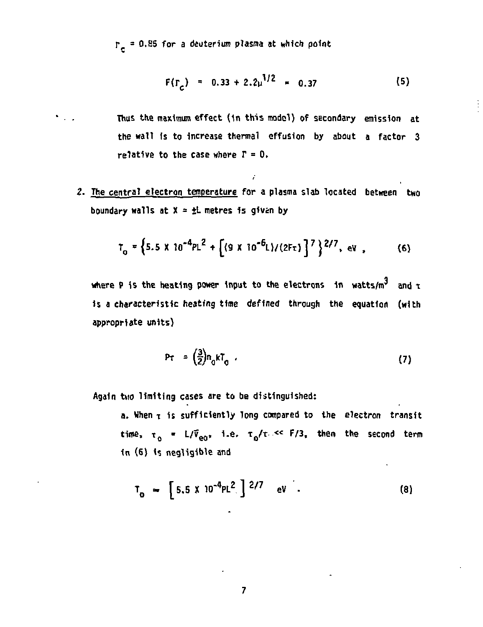$r_a = 0.85$  for a deuterium plasma at which point

 $\mathbf{v}_{\rm{max}}$ 

$$
F(r_a) = 0.33 + 2.2\mu^{1/2} = 0.37
$$
 (5)

Thus the maximum effect (1n this model) of secondary emission at the wall Is to Increase thermal effusion by about a factor 3 relative to the case where  $\Gamma = 0$ .

 $\mathcal{L}$ *2.* The central electron temperature for a plasma slab located between two boundary walls at  $X = \pm L$  metres is given by

$$
T_0 = \left\{ 5.5 \times 10^{-4} p L^2 + \left[ (9 \times 10^{-6} L)/(2 F \tau) \right]^7 \right\}^{2/7}, \text{ eV }, \qquad (6)
$$

where P is the heating power input to the electrons in watts/m<sup>3</sup> and  $\tau$ is a characteristic *heating* time defined through the equation (with appropriate units)

$$
Pr = \left(\frac{3}{2}\right) n_0 k T_0 \tag{7}
$$

Again *tvo* limiting cases are to be distinguished:

a. When t is sufficiently long compared to the electron transit time,  $t_a = L/\bar{v}_{\text{out}}$  i.e.  $\tau_a/\tau_c \ll F/3$ , then the second term 1n (6) *U* negligible and

$$
T_0 = [5.5 \times 10^{-4} \text{PL}^2]^{2/7} \text{ eV} \qquad (8)
$$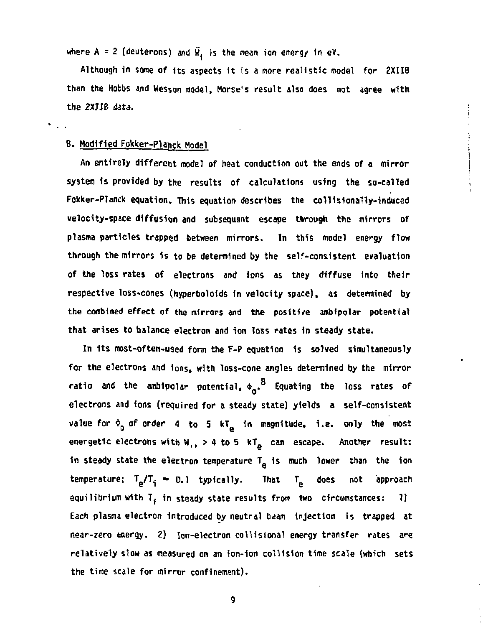where  $A = 2$  (deuterons) and  $\tilde{H}_1$  is the mean ion energy in eV.

Although in some of its aspects it is a more realistic model for 2XIIB than the Hobbs and Wesson model, Morse's result also does not agree with the 2XJJB *data,* 

## B. <u>Modified Fokker-Planck Model</u>

An entirely different model of heat conduction out the ends of a mirror system is provided by the results of calculations using the so-called Fokker-Planck equation. This equation describes the collisionally-induced velocity-space diffusion and subsequent escape through the mirrors of plasma particles trapped between mirrors. In this model energy flow through the mirrors 1s to be determined by the self-consistent evaluation of the loss rates, of electrons and ions as they diffuse into their respective loss-cones (hyperbololds in velocity space), as determined by the combined effect of the mirrors and the positive aabipolar potential that arises to balance electron and ion loss rates in steady state.

In its most-often-used form the F-P equation 1s solved simultaneously for the electrons and ions, with loss-cone angles determined by the mirror ratio and the ambipolar potential,  $\phi_{\alpha}$ .<sup>8</sup> Equating the loss rates of electrons and ions (required for a steady state) yields a self-consistent value for  $\phi_0$  of order 4 to 5 kT<sub>o</sub> in magnitude, i.e. only the most energetic electrons with W.  $> 4$  to 5 kT, can escape. Another result: in steady state the electron temperature  $T_{\rm g}$  is much lower than the ion temperature;  $T_a/T_j = 0.1$  typically. That T<sub>e</sub> does not approach equilibrium with T, in steady state results from two circumstances: 1) Each plasma electron introduced by neutral beam injection is trapped at near-zero energy. 2) Ion-electron collisional energy transfer rates are relatively slow as measured on an fon~1on collision time scale (which sets the time scale for mirror confinement).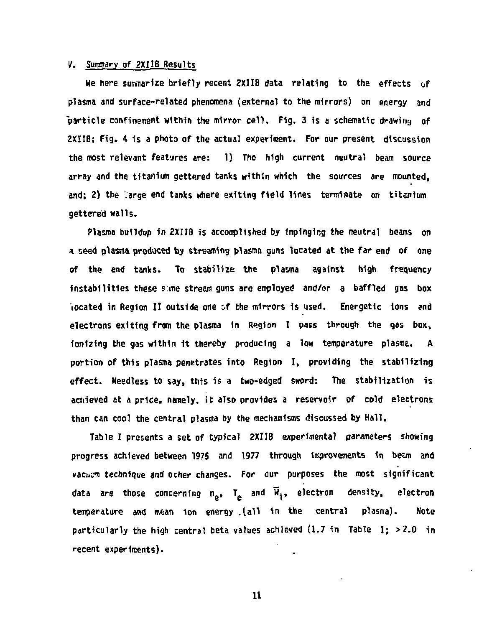## *V.* Summary of 2X1IB Results

He here summarize briefly recent 2X118 data relating to the effects of plasma and surface-related phenomena (external to the mirrors) on energy and particle confinement within the mirror cell. Fig. 3 is a schematic drawing of 2XUB; Tig. 4 1s a photo of the actual experiment. For our present discussion the most relevant features are: 1) The high current neutral bean; source array and the titanium gettered tanks within which the sources are mounted, and: 2) the large end tanks where exiting field lines terminate on titanium gettered walls.

Plasma buildup in 2X1X9 is accomplished by impinging the neutral beams on *\* seed plasma prodaceo' by streaming plasma guns located at the far end of one of the end tanks. To stabilize the plasma against high frequency instabilities these sime stream guns are employed and/or a baffled gas box located in Region II outside one of the mirrors 1s used. Energetic ions and electrons exiting from the plasma in Region I pass through the gas box, Ionizing the gas within 1t thereby producing a low temperature plasma. A portion of this plasma penetrates into Region I, providing the stabilizing effect. Needless to say, this Is a two-edged sword: The stabilization is actieved et a price, namely, it also provides a reservoir of cold electrons than can cool the central plasma by the mechanisms discussed by Hall.

Table I presents a set of typical 2XII8 experimental parameters showing progress achieved between 1975 and 1977 through improvements In bean and vacuyn technique and other changes. For our purposes the most significant data are those concerning  $n_{\alpha}$ ,  $T_{\alpha}$  and  $\vec{H}_{i}$ , electron density, electron temperature *am* mean ion energy .(all in the central plasma). Note particularly the high central beta values achieved (1.7 in Table I; >2.0 in recent experiments).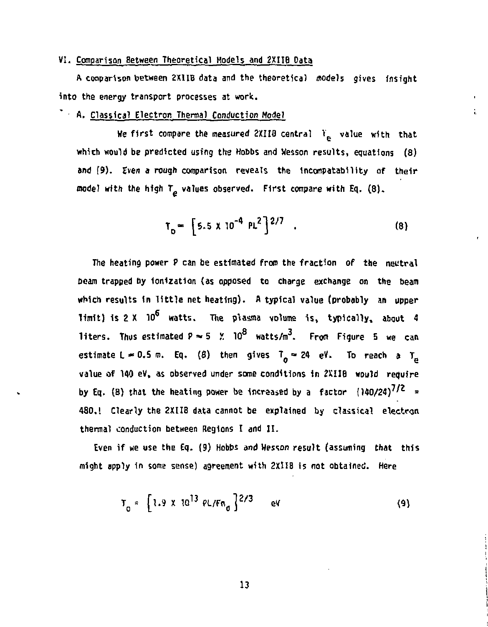#### VI. <u>Comparison Between Theoretical Models and 2XITB Data</u>

A comparison between 2XIIB data and the theoretical models gives insight into the energy transport processes at work.

## A. Classlca] Electron Thermal Conduction Model

We first compare the measured 2XIIB central  $Y_{\rm in}$  value with that which would be predicted using the Hobbs and Wesson results, equations (8) and (9). Even a rough comparison reveals the lncompatabllity of their model with the high  $T_a$  values observed. First compare with Eq. (8).

$$
T_0 = \left[5.5 \times 10^{-4} \text{ PL}^2\right]^{2/7} \tag{8}
$$

The heating power P can be estimated from the fraction of the neutral beam trapped by Ionization (as opposed to charge exchange on the beam which results in little net heating). A typical value (probably an upper limit) is 2 X 10<sup>6</sup> watts. The plasma volume is, typically, about 4 liters. Thus estimated P =• 5 *f.* 10 watts/m<sup>3</sup> . From Figure 5 we can estimate  $L = 0.5$  m. Eq. (8) then gives  $T_n = 24$  eV. To reach a  $T_n$ value of 140 eV, as observed under some conditions in 2XIIB would require by Eq. (8) that the heating power be increased by a factor (140/24) $^{7/2}$  = 480.! Clearly the 2XII8 data cannot be explained by classical electron thermal conduction between Regions I and II.

Even if we use the Eq. (3) Hobbs and Wesson result (assuming that this might apply in some sense) agreement with 2XIIB is not obtained. Here

$$
T_0 = \left\{1.9 \times 10^{13} \text{ P L/Fn}_0\right\}^{2/3} \quad \text{eV} \tag{9}
$$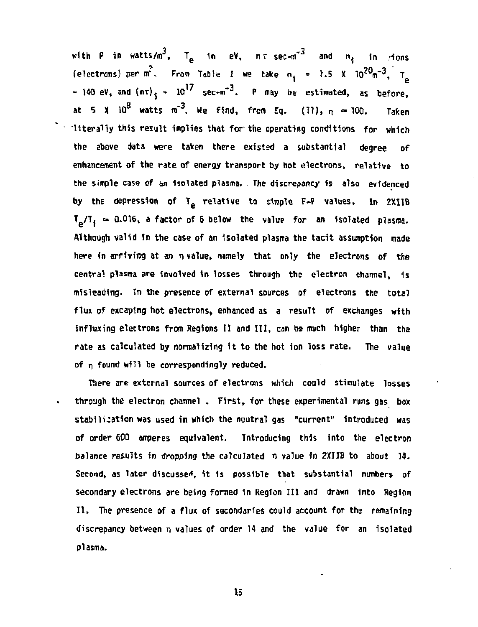with P in watts/m", i<sub>p</sub> in eV, nº sec-m<sup>on</sup> and n<sub>i</sub> in Hons (electrons) per m . From Table I we take  $n_s = 1.5$  K  $10\degree\degree\pi$  ,  $T_s$ = 140 eV. and  $(nr)$ , =  $10^{17}$  sec-m<sup>-3</sup>. P may be estimated, as before. at  $5 \times 10^8$  watts  $m^3$ . We find, from  $5a = (11)$ ,  $p = 100$ . Takes the above data were taken there existed a substantial degree of enhancement of the rate of energy transport by hot electrons, relative to the simple case of an isplated plasma. The discrepancy is also exidenced the simple case of an Isolated plasma. . The discrepancy is also evidenced  $\mathbf{b}$  and depression of Tf is in  $\mathbf{c}$  in  $\mathbf{c}$  is  $\mathbf{c}$  in  $\mathbf{c}$  in  $\mathbf{c}$  in  $\mathbf{c}$  in  $\mathbf{c}$  is  $\mathbf{c}$  in  $\mathbf{c}$  in  $\mathbf{c}$  is  $\mathbf{c}$  in  $\mathbf{c}$  in  $\mathbf{c}$  is  $\mathbf{c}$  in  $\mathbf{c}$  is  $\mathbf{$  $T_p/T_i = 0.016$ , a factor of 6 below the value for an isolated plasma. Although valid in the case of an isolated plasma the tacit assumption made here in arriving at an nivalue, namely that only the electrons of the central plasma are involved in losses through the electron channel. is misleading. In the presence of external sources of electrons the total flux of excaping hot electrons, enhanced as a result of exchanges with InfTaxing electrons from Regions I I and III , can be much higher than the rate as calculated by normalizing 1t to the hot ion loss rate. The value of n found will be correspondingly reduced.

There are external sources of electrons which could stimulate losses through the electron channel. First, for these experimental runs gas box stabilisation was used in which the neutral gas "current" introduced was of order 600 amperes equivalent. Introducing this into the electron balance results in dropping the calculated n value In 2XII8 to about 14. Second, as later discussed, it is possible that substantial numbers of secondary electrons are being formed in Region III and drawn into Region II. The presence of a flux of secondaries could account for the remaining discrepancy between n values of order 14 and the value for an Isolated plasma.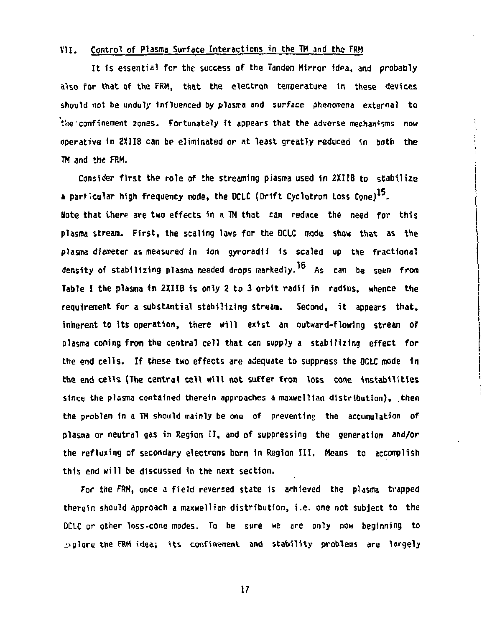## VII. Control of Plasma Surface Interactions in the TM and the FRM

It is essential fcr the success af the Tandem Mirror idea, and probably also for that of the FRM, that the electron temperature in these devices should not be unduly influenced by plasma and surface phenomena external to the confinement zones. Fortunately it appears that the adverse mechanisms now operative in 2XIIB can be eliminated or at least greatly reduced in both the TM and the FRM.

Consider first the role of the streaming plasma used in 2XIIB to stabilize a particular high frequency mode, the DCLC (Drift Cyclotron Loss Cone)\*<sup>5</sup> . Note that there are two effects in a TH that can reduce tfie *nee^* for this plasma stream. First, the scaling laws for the **DCLC** mode show that as the plasma diameter as measured in Ion gyroradil is scaled up the fractional density of stabilizing plasma needed drops markedly.  $16$  As can be seen from Table I the plasma in 2XXIB is only 2 to 3 orbit radii in radius, whence the requirement for a substantial stabilizing stream. Second, 1t appears that, inherent to its operation, there will exist an outward-flowing stream of plasma coming from the central cell that can supply a stabilizing effect for the end cells. If these two effects are adequate to suppress the OCLC mode 1n the end cells (The central cell will not suffer from loss cone instabilities since the plasma contained therein approaches a maxwellian distribution). then the problem in a TH should mainly be one of preventing the accumulation of plasma or neutral gas in Region II, and of suppressing the generation and/or the refluxing of secondary electrons bom 1n Region III, Means to accomplish this end will be discussed in the next section,

Far the FRM, once a field reversed state is arhleved the plasma trapped therein should approach a maxwellian distribution, i.e. one not subject to the OCLC or other loss-cone modes. To be sure we are only now beginning to  $\triangle$ plore the FRM idea; its confinement and stability problems are largely

1?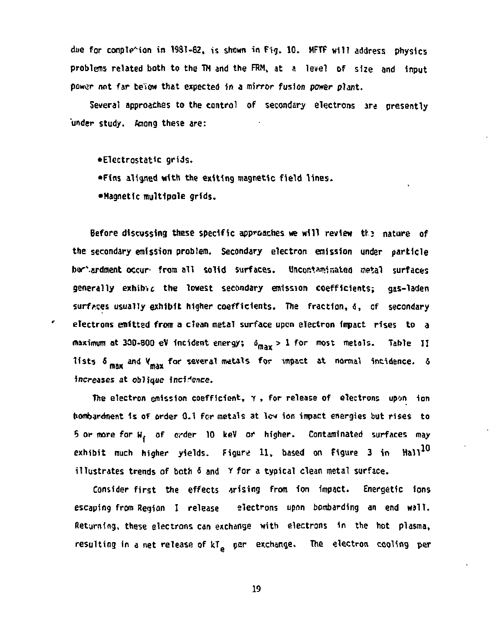dae for completion in 1981-82, is shown *in* fig, 10. MFTf will address physics problems related both to the TM and the FRM, at a level of size and input powsr not far bsiw that expected in a mirror fusion power plant.

Several approaches to the control of secondary electrons are presently under study. Anong these are:

•Electrostatic grids,

•Fins aliped with the exiting magnetic field lines.

•Magnetic tnultlpale grids.

Before discussing these specific approaches we will review the nature of the secondary emission problem. Secondary electron emission under particle bar'.ardment occur' from all solid surfaces. Uncontaminated metal surfaces  $generally$  exhibic the lowest secondary emission coefficients; gas-laden surfaces usually exhibit higher coefficients. The fraction, *6,* of secondary electrons emitted from a clean metal surface upon electron Impact rises to a maximum at 330-800 eV incident energy;  $S_{\text{max}} > 1$  for most metals. Table II lists  $\delta$  max and  $V_{\text{max}}$  for several metals for impact at normal incidence.  $\delta$ increases at oblique incidence.

The electron emission coefficient,  $\gamma$ , for release of electrons upon ion bombardment is of order 0.1 for metals at lew ion impact energies but rises to 5 or more for W, of crder 10 keV or higher. Contaminated surfaces may exhibit much higher yields. Figure  $11$ , based on figure 3 in Hall $^{10}$ illustrates trends of both 6 and Y for a typical clean metal surface.

Consider first the effects arising from Ion Impact. Energetic Ions escaping from Region *I* release electrons upon bombarding an end wall, Returning, these electrons can exchange with electrons in the hot plasma, resulting in a net release of kT, per exchange. The electron cooling per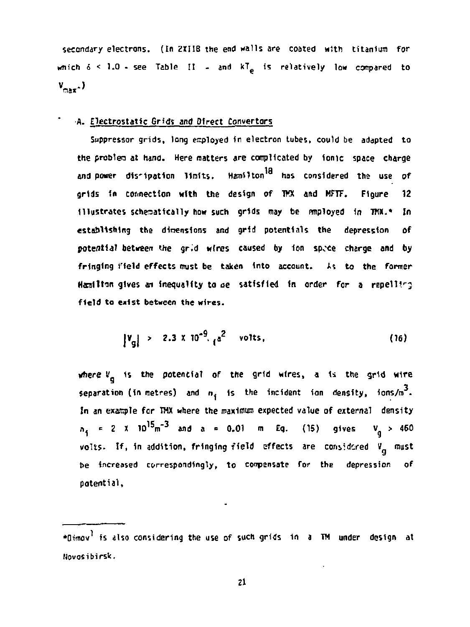secondary electrons. (In ZXHB the end walls are coated with titanium for which  $\delta \leq 1.0$  - see Table II - and  $kT_{\alpha}$  is relatively low compared to  $V_{max}$ 

## A. Electrostatic Grids and Direct Convertors

Suppressor grids, long employed in electron tubes, could be adapted to the problem at hand. Here matters are complicated by jonic space charge and Dower discipation limits. Hamilton<sup>18</sup> has considered the use of arids in commection with the design of TMX and MFTF. Figure 12 filiustrates schematically how such orids may be employed in TWN. And  $\ln$ establishing the dimensions and grid potentials the depression of potential between the grid wires caused by ion spice charge and by fringing field effects must be taken into account. As to the former Hamilton gives an inequality to be satisfied in order for a repelling Hamilton gives an inequality to oe satisfied fn order for a repel 1'."3

$$
|V_{q}| > 2.3 \times 10^{-9}, \, \text{a}^2 \quad \text{volts}, \tag{16}
$$

where  $V_{\alpha}$  is the potential of the grid wires, a is the grid wire separation (in metres) and  $n_i$  is the incident ian density, ions/m<sup>3</sup>. In an example for THX where the maximum expected value of external density n, = 2 × 10'<sup>-3</sup>m<sup>-3</sup> and a = 0,01 m Eq. (15) gives V > 460 volts. If, in addition, fringing field effects are considered V must be increased correspondingly, to compensate for the depression of potential.

 $*0$ imav<sup>1</sup> is also considering the use of such grids in a TM under design at Novosibirsk.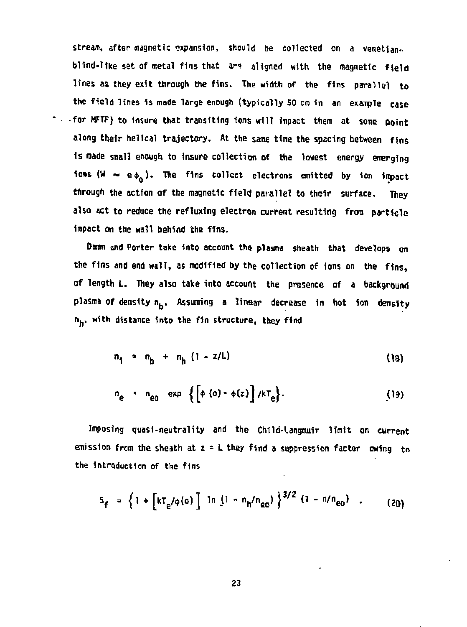stream, after magnetic expansion, should be collected on a venetian. blind-like set of metal fins that are aligned with the magnetic field lines as they exit through the fins. The width of the fins parallel to the field lines is made large enough (typically 50 cm in an example case •for HFTF) to insure that transiting Ions will impact them at some point along their helical trajectory. At the same time the spacing between fins 1s made small enough to insure collection of the lowest energy emerging ions (W  $\sim$  e $\phi_n$ ). The fins collect electrons emitted by ion impact through the action of the magnetic field parallel to their surface. They also act to reduce the refluxing electron current resulting from particle Impact on the wall behind the fins.

Daam and Porter take Into account tho plasma sheath that develops on the fins and end wall, as modified by the collection of ions on the fins, of length L. They also take into account the presence of a background plasma of density *tib.* Assuming a linear decrease in hot 1on density  $n_{h}$ , with distance into the fin structure, they find

$$
n_i = n_b + n_h (1 - z/L) \tag{18}
$$

$$
n_e
$$
  $n_{eo}$  exp { $\left[\phi(0) - \phi(z)\right] / kT_e$ }. (19)

Imposing quasi-neutrality and the Chlld-Ungmuir limit on current emission from the sheath at *z* = L they find a suppression factor owing to the introduction of the fins

$$
S_f = \left\{1 + \left[\kappa T_e / \phi(0)\right] \ln \left(1 - n_h / n_{e0}\right) \right\}^{3/2} \left(1 - n / n_{e0}\right) \quad . \tag{20}
$$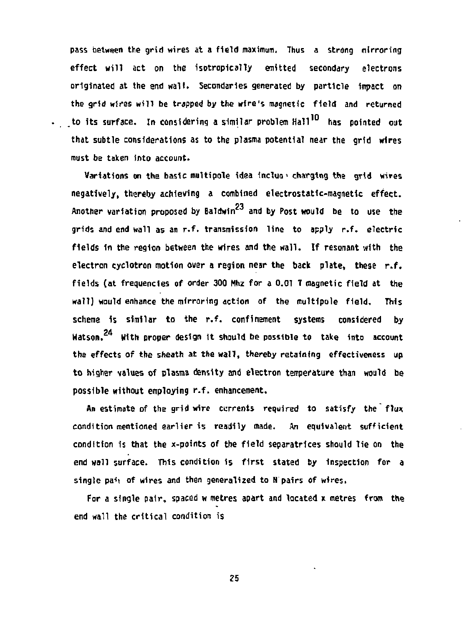pass between the grid wires at a field maximum. Thus a strong mirroring effect will act on the isotropically emitted secondary electrons originated at the end wall. Secondaries generated by particle impact on the grid wires will be trapped by the wire's magnetic field and returned to its surface. In considering a similar problem Hall<sup>10</sup> has pointed out that subtle considerations as to the plasma potential near the grid wires must be taken into account.

Variations on the basic multipole idea inclus: charging the grid wires negatively, thereby achieving a combined electrostatic-magnetic effect. Another variation proposed by Baldwin<sup>23</sup> and by Post would be to use the grids and end wall as an r.f. transmission line to apply r.f. electric fields in the region between the wires and the wall. If resonant with the electron cyclotron motion over a region near the back plate, these r.f. fields (at frequencies of order 300 Mhz for a 0.01 T magnetic field at the wall) would enhance the mirroring action of the multipole field. This scheme is similar to the r.f. confinement systems considered by Watson.<sup>24</sup> With proper design it should be possible to take into account the effects *of* the sheath at the wall , thereby retaining effectiveness up to higher values of plasma density and electron temperature than would be possible without employing r.f. enhancement.

An estimate of the grid wire currents required to satisfy the flux condition mentioned earlier is readily made. An equivalent sufficient condition is that the x-points of the field separatrices should lie on the end wall surface. This condition is first stated by inspection for a single pa<sup>5</sup>t of wires and then generalized to N pairs of wires.

For a single pair, spaced w metres apart and located x metres from the end wall the critical condition is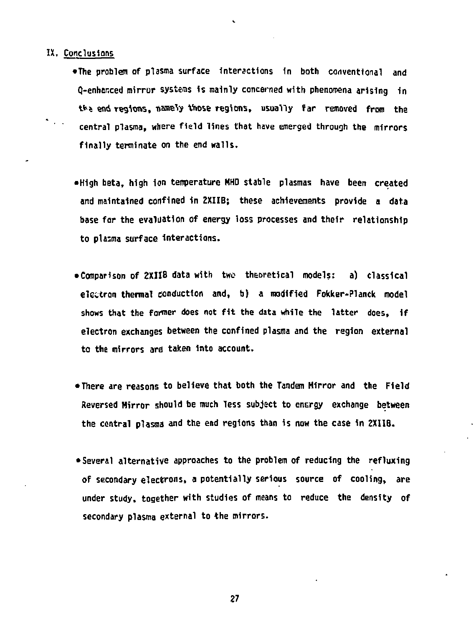## IX. Conclusions

- •The problem of plasma surface Interactions 1n both conventional and Q-enhenced mirror systems Is mainly concerned with phenomena arising in the end regions, namely those regions, usually far removed from the central plasma, where field lines that have emerged through the mirrors finally terminate on the end walls.
- •High beta, high ion temperature MUD stable plasmas have been created and maintained confined in 2XIIB; these achievements provide a data base for the evaluation of energy loss processes and their relationship to plaima surface interactions.
- •Comparison of 2X118 data with two theoretical models: a) classical electron thermal conduction and, b) a modified Fokker-Planck model shows that the farmer does not fit the data while the latter does. if electron exchanges between the confined plasma and the region external to the mirrors are taken into account.
- •There are reasons to believe that both the Tandem Mirror and the Field Reversed Mirror should be much less subject to energy exchange between the central plasma and the end regions than is now the case in 2X118.
- •Several alternative approaches to the problem of reducing the refluxing of secondary electrons, a potentially serious source of cooling, are under study, together with studies of means to reduce the density of secondary plasma external to the mirrors.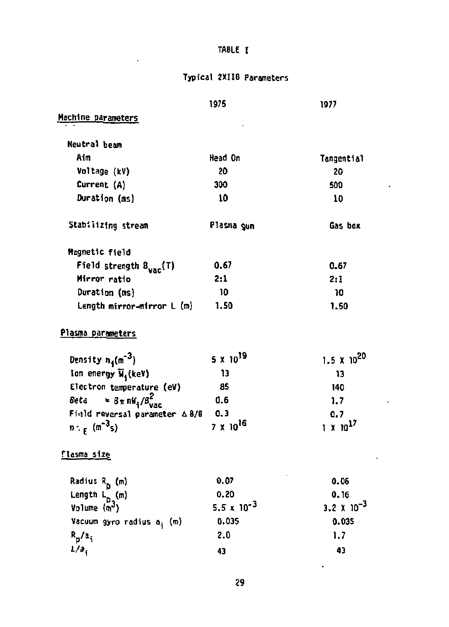## **TABLE r**

÷

## **Typical 2XIIB Parameters**

 $\ddot{\phantom{0}}$ 

 $\overline{\phantom{a}}$ 

 $\ddot{\phantom{1}}$ 

|                                                         | 1975                 | 1977                   |
|---------------------------------------------------------|----------------------|------------------------|
| Machine parameters                                      |                      |                        |
| <b>Neutral</b> beam                                     |                      |                        |
| Aim                                                     | Head On              | Tangential             |
| Voltage (kV)                                            | 20                   | 20                     |
| Current (A)                                             | 300                  | 500                    |
| Duration (ms)                                           | 10                   | 10                     |
| Stabiiizing stream                                      | Plasna gun           | Gas box                |
| Magnetic field                                          |                      |                        |
| Field strength $B_{var}(T)$                             | 0.67                 | 0.67                   |
| Mirror ratio                                            | 2:1                  | 2:1                    |
| Duration (ms)                                           | 10                   | 10                     |
| Length mirror-mirror L (m)                              | 1.50                 | 1.50                   |
| Plasma parameters                                       |                      |                        |
| Density n <sub>i</sub> (m <sup>-3</sup> )               | 5 X 10 <sup>19</sup> | 1.5 X 10 <sup>20</sup> |
| Ion energy W <sub>1</sub> (keV)                         | 13                   | 13                     |
| Electron temperature (eV)                               | 85                   | 140                    |
| Seta $\approx$ $8\pi$ nW <sub>1</sub> /B <sub>VAC</sub> | 0.6                  | 1.7                    |
| Field reversal parameter 68/8                           | 0.3                  | 0.7                    |
| n. <sub>F</sub> (m <sup>−3</sup> s)                     | 7 x 10 <sup>16</sup> | <sup>1</sup> או        |
| <u>Flasma size</u>                                      |                      |                        |
| Radius R <sub>b</sub> (m)                               | 0.07                 | 0.06                   |
| Length L <sub>o.</sub> (m)                              | 0.20                 | 0.16                   |
| Volume (m <sup>3</sup> )                                | $5.5 \times 10^{-3}$ | $3.2 \times 10^{-3}$   |
| Vacuum gyro radius a. (m)                               | 0.035                | 0.035                  |
| R <sub>u</sub> /a <sub>i</sub>                          | 2.0                  | 1.7                    |
| L/a                                                     | 43                   | 43                     |
|                                                         |                      |                        |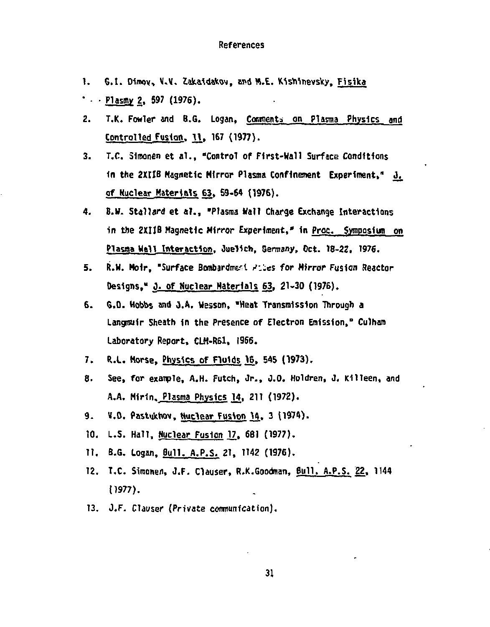#### **References**

- 1. G.I. Dimoy, V.V. Zakaidakov, and M.E. Kishinevsky, Fisika
- **• Plasmy 2, 597 (1976).**
- **2. T.K. Fowler and 6.6. Logan, Comments on Plasma Physics and ControHedFaSlgn, 11\_, 167 (1977).**
- **3. T.C. Slmonen et al. , 'Control of First-Wall Surface Conditions In the 2XIIB Magnetic Mirror Plasma Confinement Experiment,"** *i***. of Unclear Materials 63. 59-64 (1976).**
- **4. 8.W. Stallard et a7., "Plasma Kail Charge Exchange Interactions 1n the 2XI1B Magnetic Mirror Experiment," 1n Proc. fonposlum on**  Plasma Well Interaction, Juelich, Germany, Oct. 18-22, 1976.
- **5. R.W. Holr, "Surface Bombardmefl ^i-cs for** *Mrror* **Fusion Reactor Designs."** *) .* **of Huclear Materials 63. 21-30 (1976).**
- **6. S.8. Hob&s and 3.A. Hesson, "Heat Transmission Through a Langroulr Sheath In the Presence of Electron Emission," Culham Laboratory Report, OM-R61, 1956.**
- **7. P..I. Horse, Ptaslcs of fluids, 16. 545 11973).**
- **8. See, for example, A.H. Futch, Jr., J.o. Holdren, J. Kllleen, and A.A. Minn. Plasma Physics 14, 211 (1972).**
- 9. **V.B. Pastukhov, Nuclear Fusion 14, 3** (1974).
- **10. l.S. Hall, Huclear Fusion 17. 681 (1977).**
- **t l . B.G. Login, Bull. A.P.S. 21. 1142 (1976).**
- **12, T.C. Sliwmen, J.F. Clauser, R.K.Goodman, Bull. A.P.S. 22, 1144 (1977).**
- **13. J.F. Clauser (Private communication).**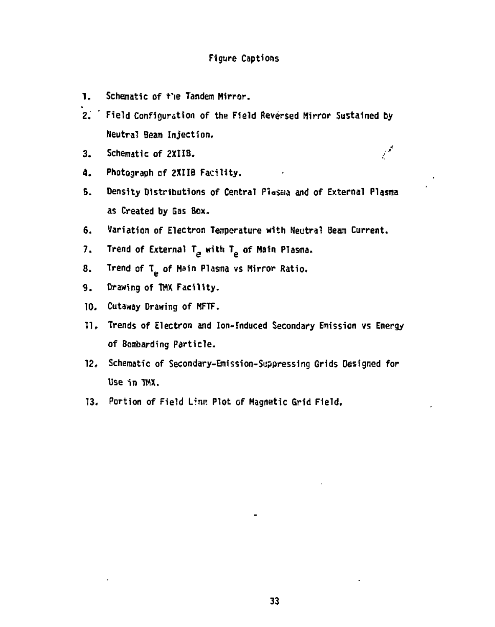## Figure Captions

- 1. Schematic of fie Tandem Mirror.
- 2. " Field Configuration of the Field Reversed Mirror Sustained by Neutral Beam Injection,
- 3. Schematic of 2XII8.  $\mathcal{L}^*$
- 4. Photograph of 2XIIB Facility,
- 5. Density Distributions of Central Plasma and of External Plasma as Created by Gas Sox.
- 6. Variation of Electron Temperature with Neutral Beam Current.
- 7. Trend of External T<sub>g</sub> with T<sub>g</sub> of Main Plasma.
- 8. Trend of T<sub>p</sub> of Main Plasma vs Mirror Ratio.
- 9. Drawing of TMX Facility.
- 10. Cutaway Drawing of MFTF.
- 11. Trends of Electron and Ion-Induced Secondary Emission vs Energy of Bombarding Particle.
- 12. Schematic of Secondary-Emission-Suppressing Grids Designed for Use in TMX.
- 13. Portion of Field line Plot of Magnetic Grid Field,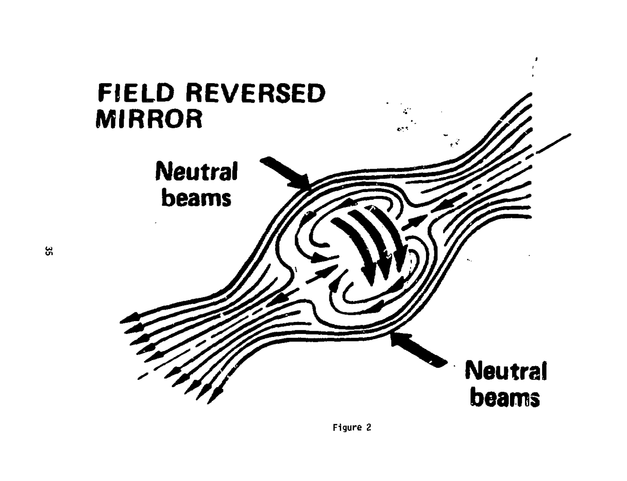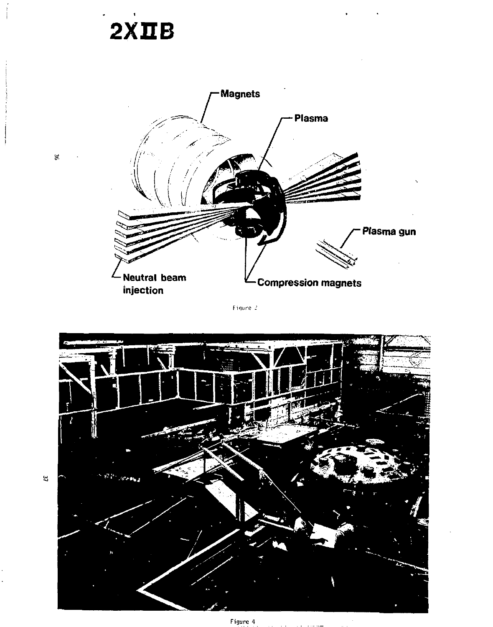# **2XEB**



Figure 2



g

¥

Figure 4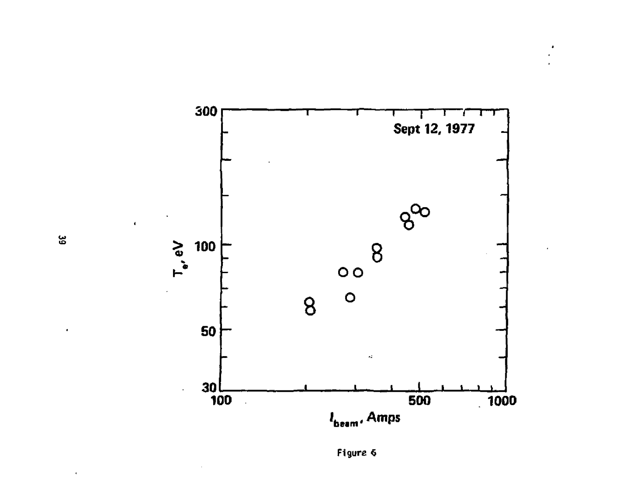

 $\ddot{\phantom{0}}$ 

×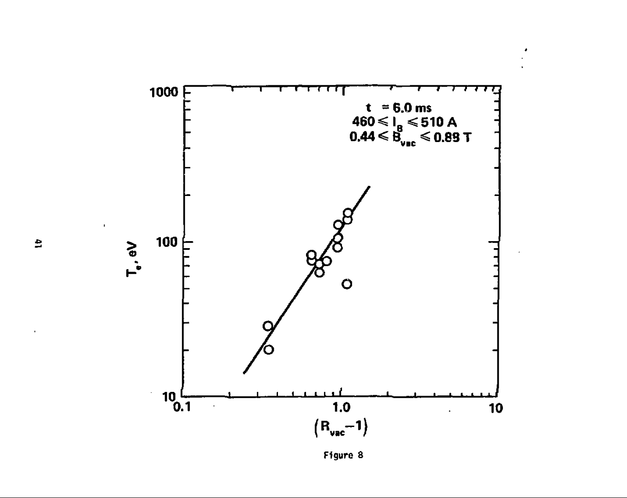

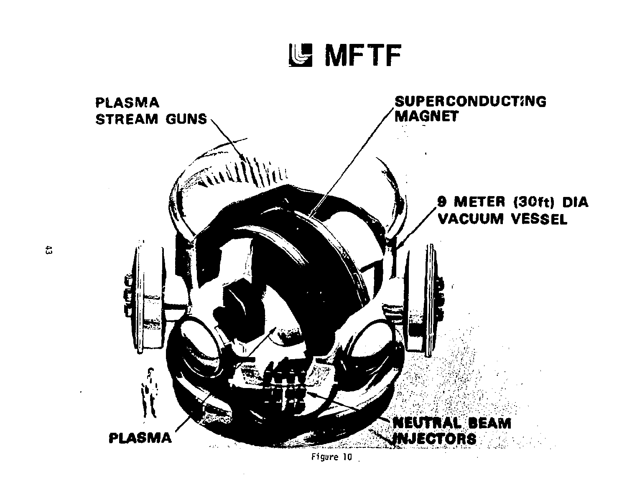## **US MFTF**